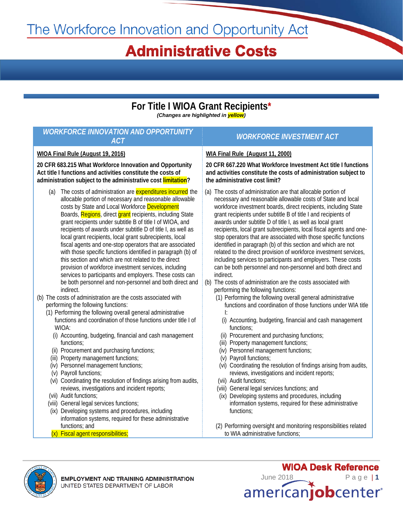# The Workforce Innovation and Opportunity Act

## **Administrative Costs**

### **For Title I WIOA Grant Recipients\*** *(Changes are highlighted in yellow)*

*WORKFORCE INNOVATION AND OPPORTUNITY ACT WORKFORCE INVESTMENT ACT*

### **WIOA Final Rule (August 19, 2016)**

**20 CFR 683.215 What Workforce Innovation and Opportunity Act title I functions and activities constitute the costs of administration subject to the administrative cost limitation?**

- (a) The costs of administration are expenditures incurred the allocable portion of necessary and reasonable allowable costs by State and Local Workforce Development Boards, Regions, direct grant recipients, including State grant recipients under subtitle B of title I of WIOA, and recipients of awards under subtitle D of title I, as well as local grant recipients, local grant subrecipients, local fiscal agents and one-stop operators that are associated with those specific functions identified in paragraph (b) of this section and which are not related to the direct provision of workforce investment services, including services to participants and employers. These costs can be both personnel and non-personnel and both direct and indirect.
- (b) The costs of administration are the costs associated with performing the following functions:
	- (1) Performing the following overall general administrative functions and coordination of those functions under title I of WIOA:
		- (i) Accounting, budgeting, financial and cash management functions;
		- (ii) Procurement and purchasing functions;
		- (iii) Property management functions;
		- (iv) Personnel management functions;
		- (v) Payroll functions;
	- (vi) Coordinating the resolution of findings arising from audits, reviews, investigations and incident reports;
	- (vii) Audit functions;
	- (viii) General legal services functions;
	- (ix) Developing systems and procedures, including information systems, required for these administrative functions; and
	- (x) Fiscal agent responsibilities;

#### **WIA Final Rule (August 11, 2000)**

**20 CFR 667.220 What Workforce Investment Act title I functions and activities constitute the costs of administration subject to the administrative cost limit?** 

- (a) The costs of administration are that allocable portion of necessary and reasonable allowable costs of State and local workforce investment boards, direct recipients, including State grant recipients under subtitle B of title I and recipients of awards under subtitle D of title I, as well as local grant recipients, local grant subrecipients, local fiscal agents and onestop operators that are associated with those specific functions identified in paragraph (b) of this section and which are not related to the direct provision of workforce investment services, including services to participants and employers. These costs can be both personnel and non-personnel and both direct and indirect.
- (b) The costs of administration are the costs associated with performing the following functions:
	- (1) Performing the following overall general administrative functions and coordination of those functions under WIA title I:
		- (i) Accounting, budgeting, financial and cash management functions;
		- (ii) Procurement and purchasing functions;
		- (iii) Property management functions;
	- (iv) Personnel management functions;
	- (v) Payroll functions;
	- (vi) Coordinating the resolution of findings arising from audits, reviews, investigations and incident reports;
	- (vii) Audit functions;
	- (viii) General legal services functions; and
	- (ix) Developing systems and procedures, including information systems, required for these administrative functions;
	- (2) Performing oversight and monitoring responsibilities related to WIA administrative functions;



June 2018Page | **1** americanjobcenter®

**WIOA Desk Reference**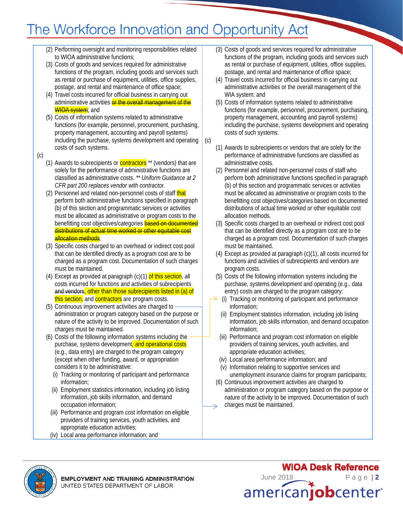## The Workforce Innovation and Opportunity Act

(c)

- (2) Performing oversight and monitoring responsibilities related to WIOA administrative functions;
- (3) Costs of goods and services required for administrative functions of the program, including goods and services such as rental or purchase of equipment, utilities, office supplies, postage, and rental and maintenance of office space;
- (4) Travel costs incurred for official business in carrying out administrative activities or the overall management of the WIOA system; and
- (5) Costs of information systems related to administrative functions (for example, personnel, procurement, purchasing, property management, accounting and payroll systems) including the purchase, systems development and operating costs of such systems.
- (c)
- (1) Awards to subrecipients or  $contractors$ <sup>\*\*</sup> (vendors) that are solely for the performance of administrative functions are classified as administrative costs. *\*\* Uniform Guidance at 2 CFR part 200 replaces vendor with contractor.*
- (2) Personnel and related non-personnel costs of staff that perform both administrative functions specified in paragraph (b) of this section and programmatic services or activities must be allocated as administrative or program costs to the benefitting cost objectives/categories **based on documented** distributions of actual time worked or other equitable cost allocation methods.
- (3) Specific costs charged to an overhead or indirect cost pool that can be identified directly as a program cost are to be charged as a program cost. Documentation of such charges must be maintained.
- (4) Except as provided at paragraph  $(c)(1)$  of this section, all costs incurred for functions and activities of subrecipients and vendors, other than those subrecipients listed in (a) of this section, and contractors are program costs.
- (5) Continuous improvement activities are charged to administration or program category based on the purpose or nature of the activity to be improved. Documentation of such charges must be maintained.
- (6) Costs of the following information systems including the purchase, systems development, and operational costs (e.g., data entry) are charged to the program category (except when other funding, award, or appropriation considers it to be administrative:
	- (i) Tracking or monitoring of participant and performance information;
	- (ii) Employment statistics information, including job listing information, job skills information, and demand occupation information;
	- (iii) Performance and program cost information on eligible providers of training services, youth activities, and appropriate education activities;
	- (iv) Local area performance information; and
- (3) Costs of goods and services required for administrative functions of the program, including goods and services such as rental or purchase of equipment, utilities, office supplies, postage, and rental and maintenance of office space;
- (4) Travel costs incurred for official business in carrying out administrative activities or the overall management of the WIA system; and
- (5) Costs of information systems related to administrative functions (for example, personnel, procurement, purchasing, property management, accounting and payroll systems) including the purchase, systems development and operating costs of such systems.
- (1) Awards to subrecipients or vendors that are solely for the performance of administrative functions are classified as administrative costs.
- (2) Personnel and related non-personnel costs of staff who perform both administrative functions specified in paragraph (b) of this section and programmatic services or activities must be allocated as administrative or program costs to the benefitting cost objectives/categories based on documented distributions of actual time worked or other equitable cost allocation methods.
- (3) Specific costs charged to an overhead or indirect cost pool that can be identified directly as a program cost are to be charged as a program cost. Documentation of such charges must be maintained.
- (4) Except as provided at paragraph (c)(1), all costs incurred for functions and activities of subrecipients and vendors are program costs.
- (5) Costs of the following information systems including the purchase, systems development and operating (e.g., data entry) costs are charged to the program category:
- (i) Tracking or monitoring of participant and performance information;
- (ii) Employment statistics information, including job listing information, job skills information, and demand occupation information;
- (iii) Performance and program cost information on eligible providers of training services, youth activities, and appropriate education activities;
- (iv) Local area performance information; and
- (v) Information relating to supportive services and unemployment insurance claims for program participants;
- (6) Continuous improvement activities are charged to administration or program category based on the purpose or nature of the activity to be improved. Documentation of such charges must be maintained.



**WIOA Desk Reference** June 2018Page | **2** americanjobcenter®